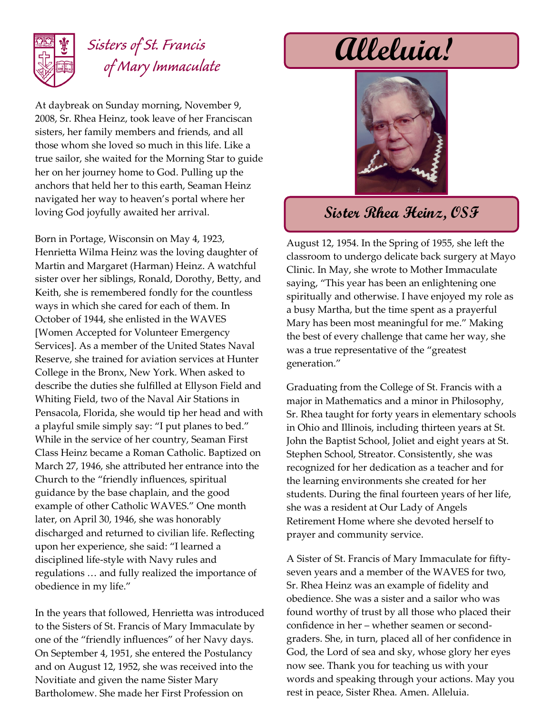

## *Sisters of St. Francis of Mary Immaculate*

At daybreak on Sunday morning, November 9, 2008, Sr. Rhea Heinz, took leave of her Franciscan sisters, her family members and friends, and all those whom she loved so much in this life. Like a true sailor, she waited for the Morning Star to guide her on her journey home to God. Pulling up the anchors that held her to this earth, Seaman Heinz navigated her way to heaven's portal where her loving God joyfully awaited her arrival.

Born in Portage, Wisconsin on May 4, 1923, Henrietta Wilma Heinz was the loving daughter of Martin and Margaret (Harman) Heinz. A watchful sister over her siblings, Ronald, Dorothy, Betty, and Keith, she is remembered fondly for the countless ways in which she cared for each of them. In October of 1944, she enlisted in the WAVES [Women Accepted for Volunteer Emergency Services]. As a member of the United States Naval Reserve, she trained for aviation services at Hunter College in the Bronx, New York. When asked to describe the duties she fulfilled at Ellyson Field and Whiting Field, two of the Naval Air Stations in Pensacola, Florida, she would tip her head and with a playful smile simply say: "I put planes to bed." While in the service of her country, Seaman First Class Heinz became a Roman Catholic. Baptized on March 27, 1946, she attributed her entrance into the Church to the "friendly influences, spiritual guidance by the base chaplain, and the good example of other Catholic WAVES." One month later, on April 30, 1946, she was honorably discharged and returned to civilian life. Reflecting upon her experience, she said: "I learned a disciplined life-style with Navy rules and regulations … and fully realized the importance of obedience in my life."

In the years that followed, Henrietta was introduced to the Sisters of St. Francis of Mary Immaculate by one of the "friendly influences" of her Navy days. On September 4, 1951, she entered the Postulancy and on August 12, 1952, she was received into the Novitiate and given the name Sister Mary Bartholomew. She made her First Profession on

# **Alleluia!**



### **Sister Rhea Heinz, OSF**

August 12, 1954. In the Spring of 1955, she left the classroom to undergo delicate back surgery at Mayo Clinic. In May, she wrote to Mother Immaculate saying, "This year has been an enlightening one spiritually and otherwise. I have enjoyed my role as a busy Martha, but the time spent as a prayerful Mary has been most meaningful for me." Making the best of every challenge that came her way, she was a true representative of the "greatest generation."

Graduating from the College of St. Francis with a major in Mathematics and a minor in Philosophy, Sr. Rhea taught for forty years in elementary schools in Ohio and Illinois, including thirteen years at St. John the Baptist School, Joliet and eight years at St. Stephen School, Streator. Consistently, she was recognized for her dedication as a teacher and for the learning environments she created for her students. During the final fourteen years of her life, she was a resident at Our Lady of Angels Retirement Home where she devoted herself to prayer and community service.

A Sister of St. Francis of Mary Immaculate for fiftyseven years and a member of the WAVES for two, Sr. Rhea Heinz was an example of fidelity and obedience. She was a sister and a sailor who was found worthy of trust by all those who placed their confidence in her – whether seamen or secondgraders. She, in turn, placed all of her confidence in God, the Lord of sea and sky, whose glory her eyes now see. Thank you for teaching us with your words and speaking through your actions. May you rest in peace, Sister Rhea. Amen. Alleluia.